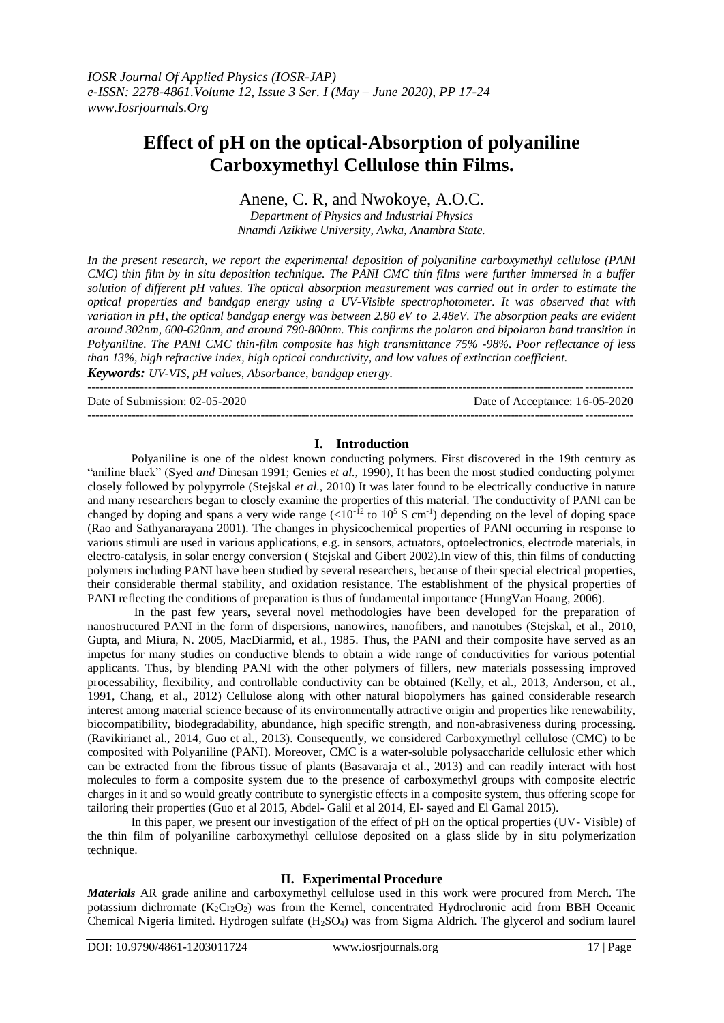# **Effect of pH on the optical-Absorption of polyaniline Carboxymethyl Cellulose thin Films.**

# Anene, C. R, and Nwokoye, A.O.C.

*Department of Physics and Industrial Physics Nnamdi Azikiwe University, Awka, Anambra State.*

*In the present research, we report the experimental deposition of polyaniline carboxymethyl cellulose (PANI CMC) thin film by in situ deposition technique. The PANI CMC thin films were further immersed in a buffer solution of different pH values. The optical absorption measurement was carried out in order to estimate the optical properties and bandgap energy using a UV-Visible spectrophotometer. It was observed that with variation in pH, the optical bandgap energy was between 2.80 eV to 2.48eV. The absorption peaks are evident around 302nm, 600-620nm, and around 790-800nm. This confirms the polaron and bipolaron band transition in Polyaniline. The PANI CMC thin-film composite has high transmittance 75% -98%. Poor reflectance of less than 13%, high refractive index, high optical conductivity, and low values of extinction coefficient. Keywords: UV-VIS, pH values, Absorbance, bandgap energy.*

---------------------------------------------------------------------------------------------------------------------------------------

Date of Submission: 02-05-2020 Date of Acceptance: 16-05-2020

# **I. Introduction**

---------------------------------------------------------------------------------------------------------------------------------------

Polyaniline is one of the oldest known conducting polymers. First discovered in the 19th century as "aniline black" (Syed *and* Dinesan 1991; Genies *et al.,* 1990), It has been the most studied conducting polymer closely followed by polypyrrole (Stejskal *et al.,* 2010) It was later found to be electrically conductive in nature and many researchers began to closely examine the properties of this material. The conductivity of PANI can be changed by doping and spans a very wide range  $(<10^{-12}$  to  $10^5$  S cm<sup>-1</sup>) depending on the level of doping space (Rao and Sathyanarayana 2001). The changes in physicochemical properties of PANI occurring in response to various stimuli are used in various applications, e.g. in sensors, actuators, optoelectronics, electrode materials, in electro-catalysis, in solar energy conversion ( Stejskal and Gibert 2002).In view of this, thin films of conducting polymers including PANI have been studied by several researchers, because of their special electrical properties, their considerable thermal stability, and oxidation resistance. The establishment of the physical properties of PANI reflecting the conditions of preparation is thus of fundamental importance (HungVan Hoang*,* 2006).

In the past few years, several novel methodologies have been developed for the preparation of nanostructured PANI in the form of dispersions, nanowires, nanofibers, and nanotubes (Stejskal, et al., 2010, Gupta, and Miura, N. 2005, MacDiarmid, et al., 1985. Thus, the PANI and their composite have served as an impetus for many studies on conductive blends to obtain a wide range of conductivities for various potential applicants. Thus, by blending PANI with the other polymers of fillers, new materials possessing improved processability, flexibility, and controllable conductivity can be obtained (Kelly, et al., 2013, Anderson, et al., 1991, Chang, et al., 2012) Cellulose along with other natural biopolymers has gained considerable research interest among material science because of its environmentally attractive origin and properties like renewability, biocompatibility, biodegradability, abundance, high specific strength, and non-abrasiveness during processing. (Ravikirianet al., 2014, Guo et al., 2013). Consequently, we considered Carboxymethyl cellulose (CMC) to be composited with Polyaniline (PANI). Moreover, CMC is a water-soluble polysaccharide cellulosic ether which can be extracted from the fibrous tissue of plants (Basavaraja et al., 2013) and can readily interact with host molecules to form a composite system due to the presence of carboxymethyl groups with composite electric charges in it and so would greatly contribute to synergistic effects in a composite system, thus offering scope for tailoring their properties (Guo et al 2015, Abdel- Galil et al 2014, El- sayed and El Gamal 2015).

In this paper, we present our investigation of the effect of pH on the optical properties (UV- Visible) of the thin film of polyaniline carboxymethyl cellulose deposited on a glass slide by in situ polymerization technique.

## **II. Experimental Procedure**

*Materials* AR grade aniline and carboxymethyl cellulose used in this work were procured from Merch. The potassium dichromate  $(K_2Cr_2O_2)$  was from the Kernel, concentrated Hydrochronic acid from BBH Oceanic Chemical Nigeria limited. Hydrogen sulfate (H2SO4) was from Sigma Aldrich. The glycerol and sodium laurel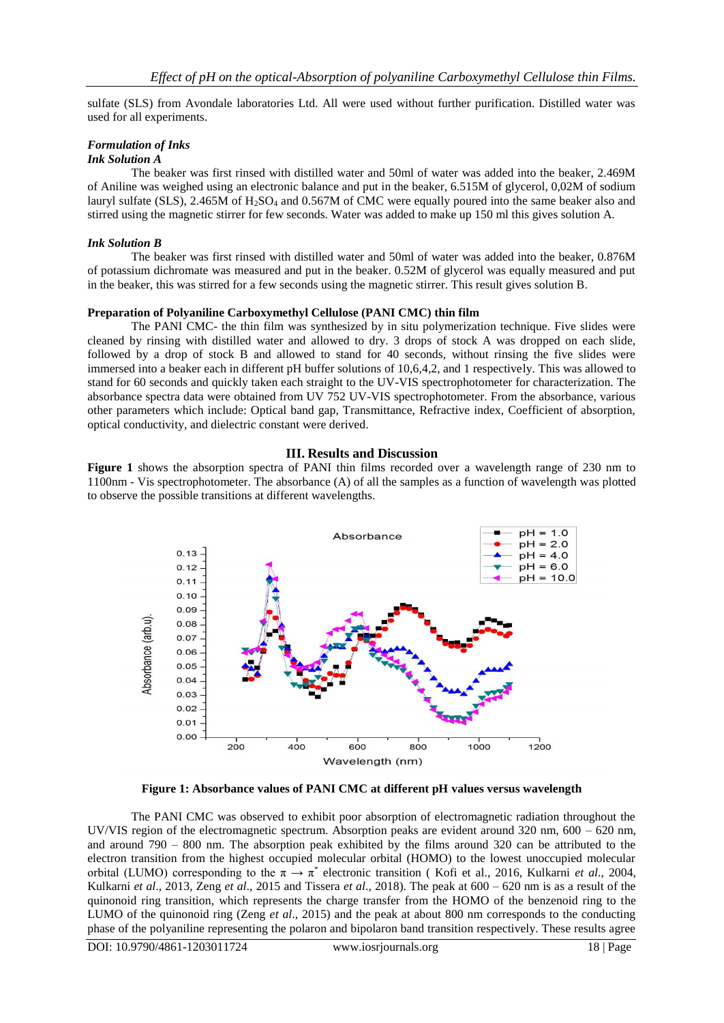sulfate (SLS) from Avondale laboratories Ltd. All were used without further purification. Distilled water was used for all experiments.

### *Formulation of Inks*

# *Ink Solution A*

The beaker was first rinsed with distilled water and 50ml of water was added into the beaker, 2.469M of Aniline was weighed using an electronic balance and put in the beaker, 6.515M of glycerol, 0,02M of sodium lauryl sulfate (SLS), 2.465M of H<sub>2</sub>SO<sub>4</sub> and 0.567M of CMC were equally poured into the same beaker also and stirred using the magnetic stirrer for few seconds. Water was added to make up 150 ml this gives solution A.

#### *Ink Solution B*

The beaker was first rinsed with distilled water and 50ml of water was added into the beaker, 0.876M of potassium dichromate was measured and put in the beaker. 0.52M of glycerol was equally measured and put in the beaker, this was stirred for a few seconds using the magnetic stirrer. This result gives solution B.

#### **Preparation of Polyaniline Carboxymethyl Cellulose (PANI CMC) thin film**

The PANI CMC- the thin film was synthesized by in situ polymerization technique. Five slides were cleaned by rinsing with distilled water and allowed to dry. 3 drops of stock A was dropped on each slide, followed by a drop of stock B and allowed to stand for 40 seconds, without rinsing the five slides were immersed into a beaker each in different pH buffer solutions of 10,6,4,2, and 1 respectively. This was allowed to stand for 60 seconds and quickly taken each straight to the UV-VIS spectrophotometer for characterization. The absorbance spectra data were obtained from UV 752 UV-VIS spectrophotometer. From the absorbance, various other parameters which include: Optical band gap, Transmittance, Refractive index, Coefficient of absorption, optical conductivity, and dielectric constant were derived.

#### **III. Results and Discussion**

**Figure 1** shows the absorption spectra of PANI thin films recorded over a wavelength range of 230 nm to 1100nm - Vis spectrophotometer. The absorbance (A) of all the samples as a function of wavelength was plotted to observe the possible transitions at different wavelengths.



**Figure 1: Absorbance values of PANI CMC at different pH values versus wavelength**

The PANI CMC was observed to exhibit poor absorption of electromagnetic radiation throughout the UV/VIS region of the electromagnetic spectrum. Absorption peaks are evident around 320 nm, 600 – 620 nm, and around 790 – 800 nm. The absorption peak exhibited by the films around 320 can be attributed to the electron transition from the highest occupied molecular orbital (HOMO) to the lowest unoccupied molecular orbital (LUMO) corresponding to the  $\pi \to \pi^*$  electronic transition (Kofi et al., 2016, Kulkarni *et al.*, 2004, Kulkarni *et al*., 2013, Zeng *et al*., 2015 and Tissera *et al*., 2018). The peak at 600 – 620 nm is as a result of the quinonoid ring transition, which represents the charge transfer from the HOMO of the benzenoid ring to the LUMO of the quinonoid ring (Zeng *et al*., 2015) and the peak at about 800 nm corresponds to the conducting phase of the polyaniline representing the polaron and bipolaron band transition respectively. These results agree

DOI: 10.9790/4861-1203011724 www.iosrjournals.org 18 | Page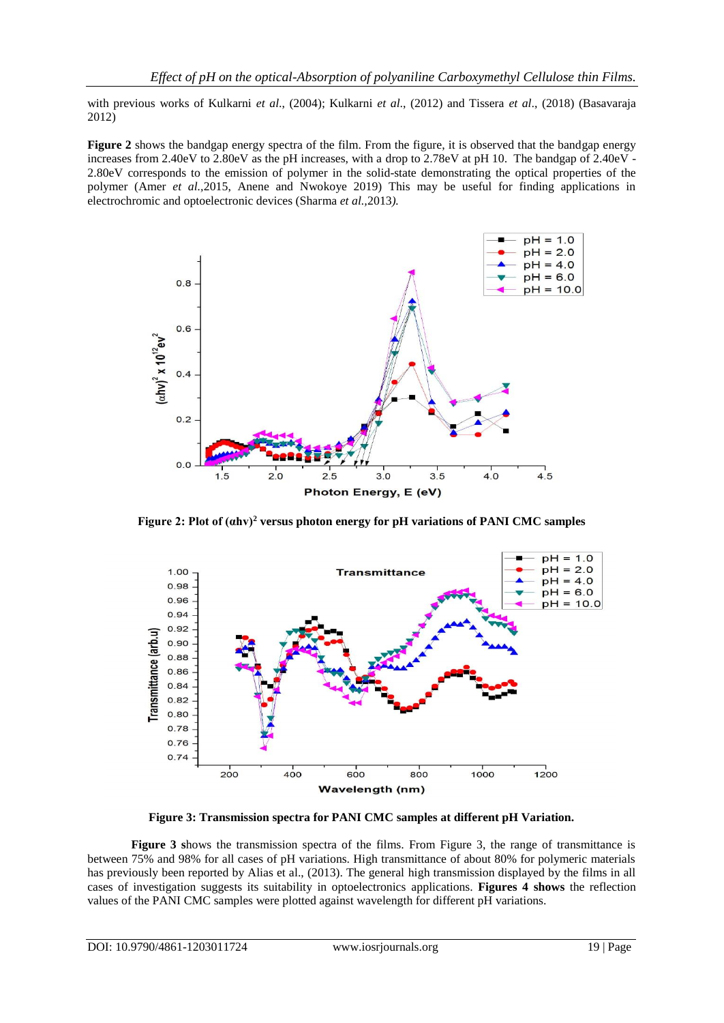with previous works of Kulkarni *et al*., (2004); Kulkarni *et al*., (2012) and Tissera *et al*., (2018) (Basavaraja 2012)

**Figure 2** shows the bandgap energy spectra of the film. From the figure, it is observed that the bandgap energy increases from 2.40eV to 2.80eV as the pH increases, with a drop to 2.78eV at pH 10. The bandgap of 2.40eV - 2.80eV corresponds to the emission of polymer in the solid-state demonstrating the optical properties of the polymer (Amer *et al.,*2015, Anene and Nwokoye 2019) This may be useful for finding applications in electrochromic and optoelectronic devices (Sharma *et al.,*2013*).*



**Figure 2: Plot of (αhv)<sup>2</sup> versus photon energy for pH variations of PANI CMC samples**



**Figure 3: Transmission spectra for PANI CMC samples at different pH Variation.**

**Figure 3 s**hows the transmission spectra of the films. From Figure 3, the range of transmittance is between 75% and 98% for all cases of pH variations. High transmittance of about 80% for polymeric materials has previously been reported by Alias et al., (2013). The general high transmission displayed by the films in all cases of investigation suggests its suitability in optoelectronics applications. **Figures 4 shows** the reflection values of the PANI CMC samples were plotted against wavelength for different pH variations.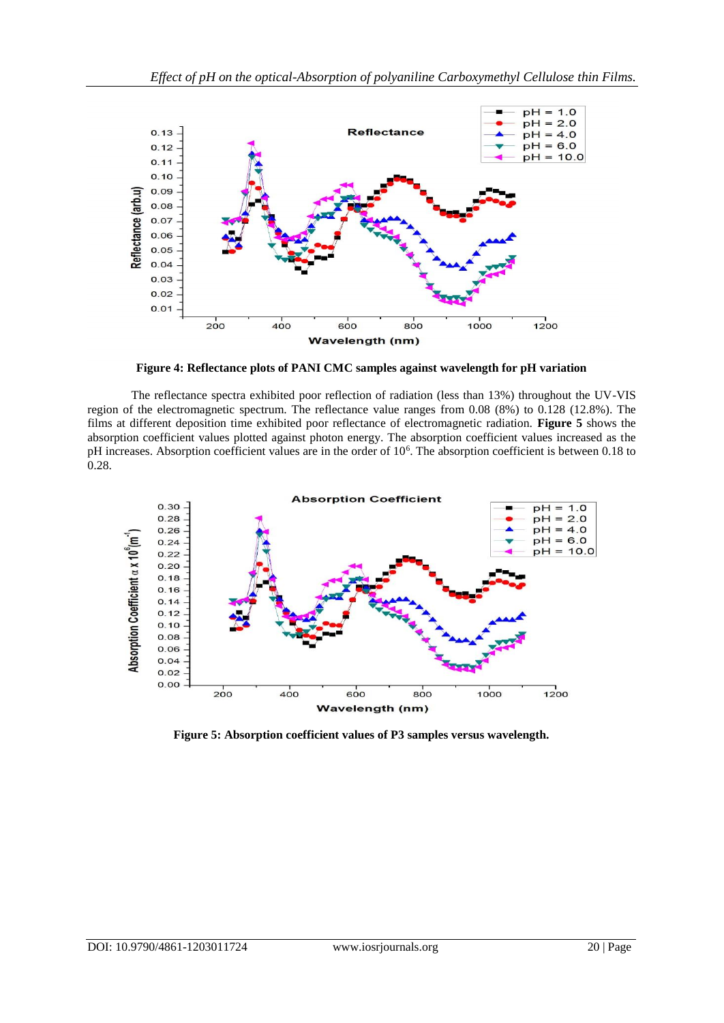

**Figure 4: Reflectance plots of PANI CMC samples against wavelength for pH variation**

The reflectance spectra exhibited poor reflection of radiation (less than 13%) throughout the UV-VIS region of the electromagnetic spectrum. The reflectance value ranges from 0.08 (8%) to 0.128 (12.8%). The films at different deposition time exhibited poor reflectance of electromagnetic radiation. **Figure 5** shows the absorption coefficient values plotted against photon energy. The absorption coefficient values increased as the pH increases. Absorption coefficient values are in the order of 10<sup>6</sup>. The absorption coefficient is between 0.18 to 0.28.



**Figure 5: Absorption coefficient values of P3 samples versus wavelength.**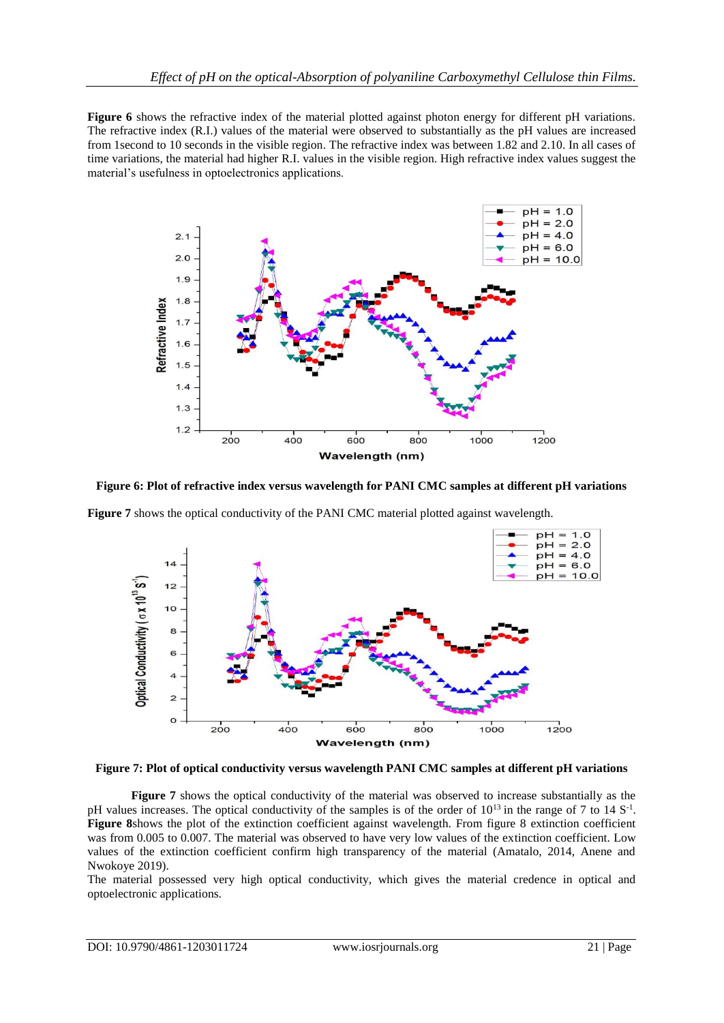**Figure 6** shows the refractive index of the material plotted against photon energy for different pH variations. The refractive index (R.I.) values of the material were observed to substantially as the pH values are increased from 1second to 10 seconds in the visible region. The refractive index was between 1.82 and 2.10. In all cases of time variations, the material had higher R.I. values in the visible region. High refractive index values suggest the material's usefulness in optoelectronics applications.



**Figure 6: Plot of refractive index versus wavelength for PANI CMC samples at different pH variations**

**Figure 7** shows the optical conductivity of the PANI CMC material plotted against wavelength.



**Figure 7: Plot of optical conductivity versus wavelength PANI CMC samples at different pH variations**

**Figure 7** shows the optical conductivity of the material was observed to increase substantially as the pH values increases. The optical conductivity of the samples is of the order of  $10^{13}$  in the range of 7 to 14 S<sup>-1</sup>. **Figure 8**shows the plot of the extinction coefficient against wavelength. From figure 8 extinction coefficient was from 0.005 to 0.007. The material was observed to have very low values of the extinction coefficient. Low values of the extinction coefficient confirm high transparency of the material (Amatalo, 2014, Anene and Nwokoye 2019).

The material possessed very high optical conductivity, which gives the material credence in optical and optoelectronic applications.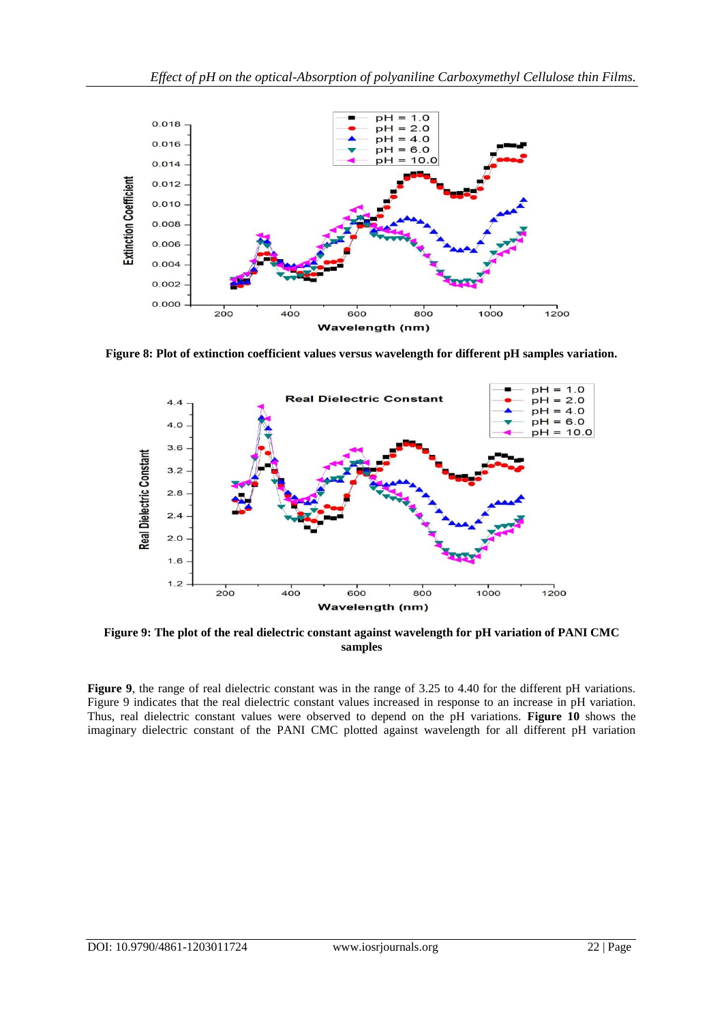

**Figure 8: Plot of extinction coefficient values versus wavelength for different pH samples variation.**



**Figure 9: The plot of the real dielectric constant against wavelength for pH variation of PANI CMC samples**

**Figure 9**, the range of real dielectric constant was in the range of 3.25 to 4.40 for the different pH variations. Figure 9 indicates that the real dielectric constant values increased in response to an increase in pH variation. Thus, real dielectric constant values were observed to depend on the pH variations. **Figure 10** shows the imaginary dielectric constant of the PANI CMC plotted against wavelength for all different pH variation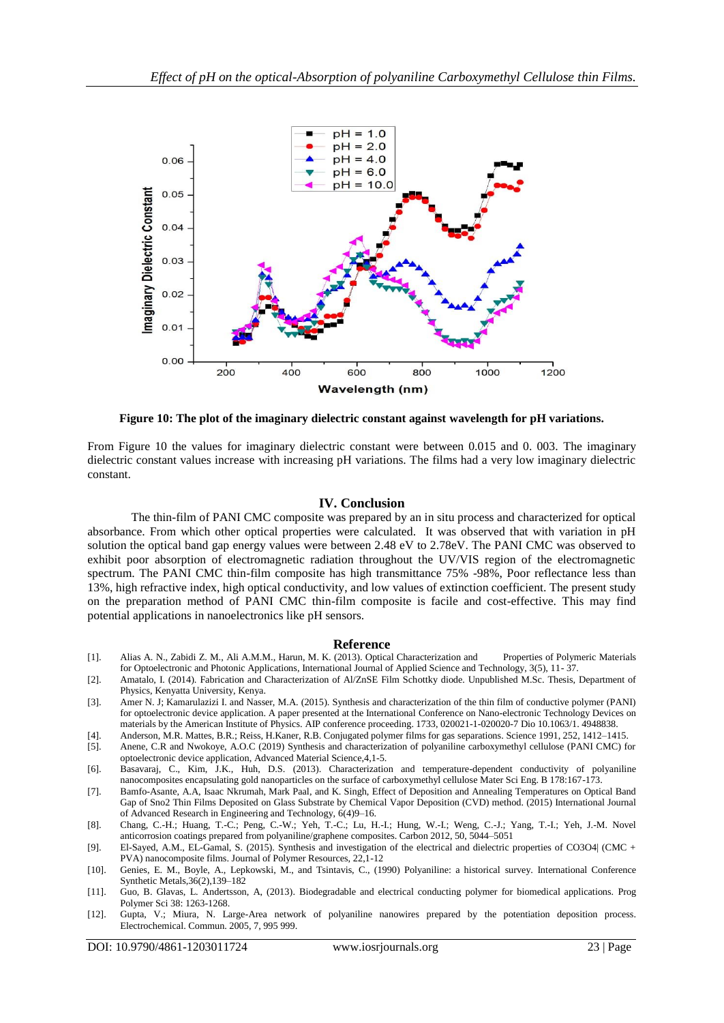

**Figure 10: The plot of the imaginary dielectric constant against wavelength for pH variations.**

From Figure 10 the values for imaginary dielectric constant were between 0.015 and 0. 003. The imaginary dielectric constant values increase with increasing pH variations. The films had a very low imaginary dielectric constant.

#### **IV. Conclusion**

The thin-film of PANI CMC composite was prepared by an in situ process and characterized for optical absorbance. From which other optical properties were calculated. It was observed that with variation in pH solution the optical band gap energy values were between 2.48 eV to 2.78eV. The PANI CMC was observed to exhibit poor absorption of electromagnetic radiation throughout the UV/VIS region of the electromagnetic spectrum. The PANI CMC thin-film composite has high transmittance 75% -98%, Poor reflectance less than 13%, high refractive index, high optical conductivity, and low values of extinction coefficient. The present study on the preparation method of PANI CMC thin-film composite is facile and cost-effective. This may find potential applications in nanoelectronics like pH sensors.

#### **Reference**

- [1]. Alias A. N., Zabidi Z. M., Ali A.M.M., Harun, M. K. (2013). Optical Characterization and Properties of Polymeric Materials for Optoelectronic and Photonic Applications, International Journal of Applied Science and Technology, 3(5), 11- 37.
- [2]. Amatalo, I. (2014). Fabrication and Characterization of Al/ZnSE Film Schottky diode. Unpublished M.Sc. Thesis, Department of Physics, Kenyatta University, Kenya.
- [3]. Amer N. J; Kamarulazizi I. and Nasser, M.A. (2015). Synthesis and characterization of the thin film of conductive polymer (PANI) for optoelectronic device application. A paper presented at the International Conference on Nano-electronic Technology Devices on materials by the American Institute of Physics. AIP conference proceeding. 1733, 020021-1-020020-7 Dio 10.1063/1. 4948838.
- [4]. Anderson, M.R. Mattes, B.R.; Reiss, H.Kaner, R.B. Conjugated polymer films for gas separations. Science 1991, 252, 1412–1415.
- [5]. Anene, C.R and Nwokoye, A.O.C (2019) Synthesis and characterization of polyaniline carboxymethyl cellulose (PANI CMC) for optoelectronic device application, Advanced Material Science,4,1-5.
- [6]. Basavaraj, C., Kim, J.K., Huh, D.S. (2013). Characterization and temperature-dependent conductivity of polyaniline nanocomposites encapsulating gold nanoparticles on the surface of carboxymethyl cellulose Mater Sci Eng. B 178:167-173.
- [7]. Bamfo-Asante, A.A, Isaac Nkrumah, Mark Paal, and K. Singh, Effect of Deposition and Annealing Temperatures on Optical Band Gap of Sno2 Thin Films Deposited on Glass Substrate by Chemical Vapor Deposition (CVD) method. (2015) International Journal of Advanced Research in Engineering and Technology, 6(4)9–16.
- [8]. Chang, C.-H.; Huang, T.-C.; Peng, C.-W.; Yeh, T.-C.; Lu, H.-I.; Hung, W.-I.; Weng, C.-J.; Yang, T.-I.; Yeh, J.-M. Novel anticorrosion coatings prepared from polyaniline/graphene composites. Carbon 2012, 50, 5044–5051
- [9]. El-Sayed, A.M., EL-Gamal, S. (2015). Synthesis and investigation of the electrical and dielectric properties of CO3O4| (CMC + PVA) nanocomposite films. Journal of Polymer Resources, 22,1-12
- [10]. Genies, E. M., Boyle, A., Lepkowski, M., and Tsintavis, C., (1990) Polyaniline: a historical survey. International Conference Synthetic Metals,36(2),139–182
- [11]. Guo, B. Glavas, L. Andertsson, A, (2013). Biodegradable and electrical conducting polymer for biomedical applications. Prog Polymer Sci 38: 1263-1268.
- [12]. Gupta, V.; Miura, N. Large-Area network of polyaniline nanowires prepared by the potentiation deposition process. Electrochemical. Commun. 2005, 7, 995 999.